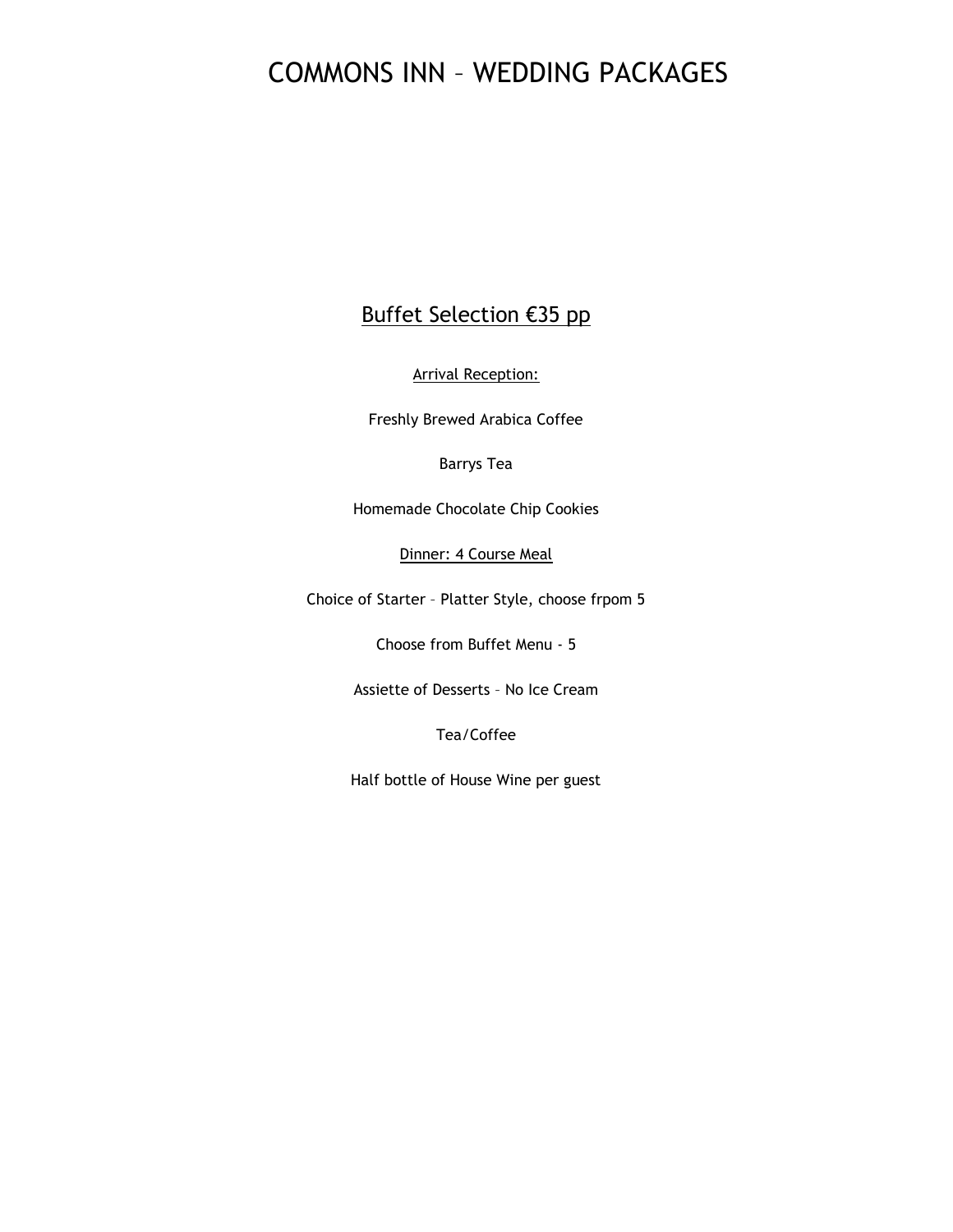## Buffet Selection €35 pp

Arrival Reception:

Freshly Brewed Arabica Coffee

Barrys Tea

Homemade Chocolate Chip Cookies

Dinner: 4 Course Meal

Choice of Starter – Platter Style, choose frpom 5

Choose from Buffet Menu - 5

Assiette of Desserts – No Ice Cream

Tea/Coffee

Half bottle of House Wine per guest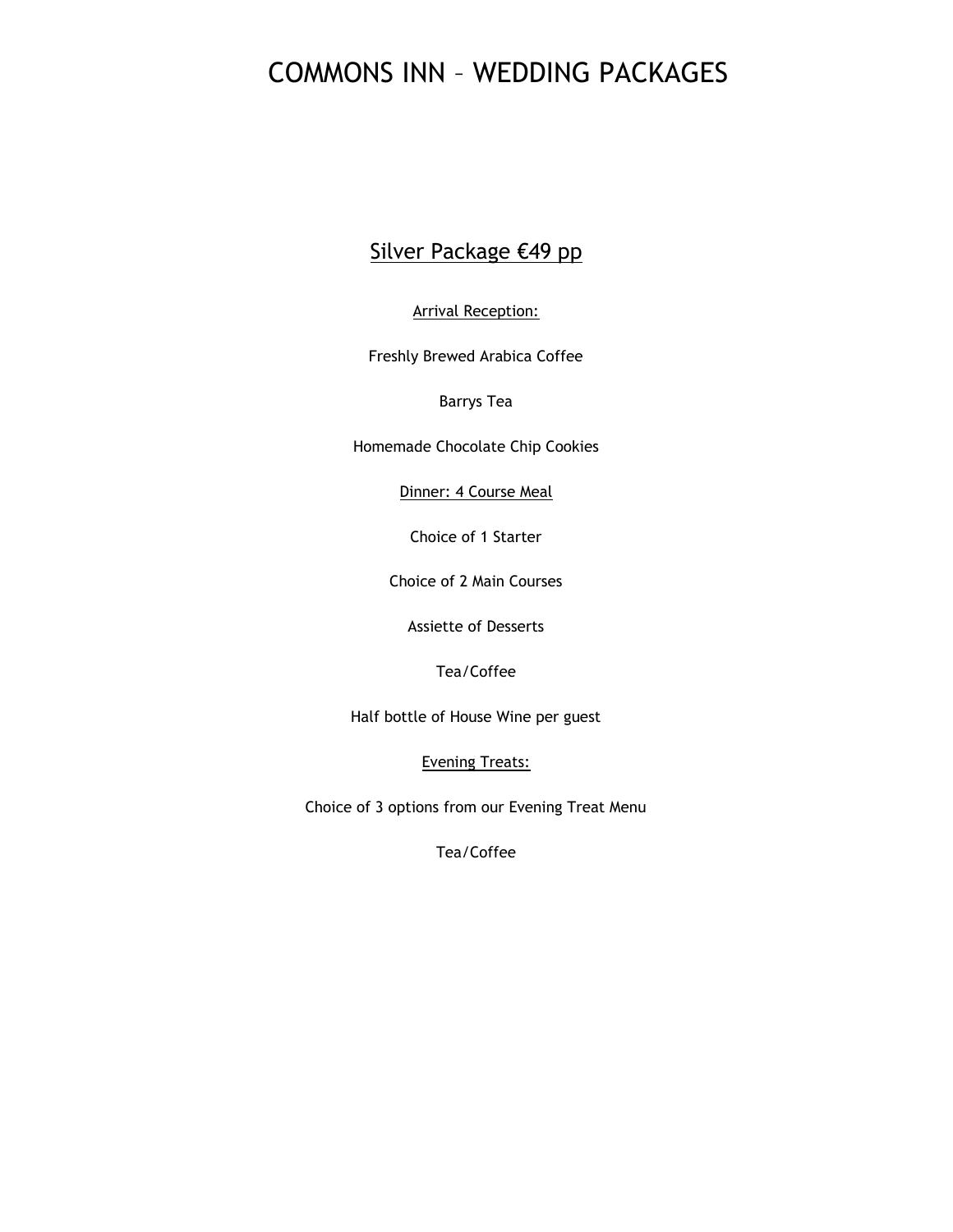## Silver Package €49 pp

Arrival Reception:

Freshly Brewed Arabica Coffee

Barrys Tea

Homemade Chocolate Chip Cookies

Dinner: 4 Course Meal

Choice of 1 Starter

Choice of 2 Main Courses

Assiette of Desserts

Tea/Coffee

Half bottle of House Wine per guest

Evening Treats:

Choice of 3 options from our Evening Treat Menu

Tea/Coffee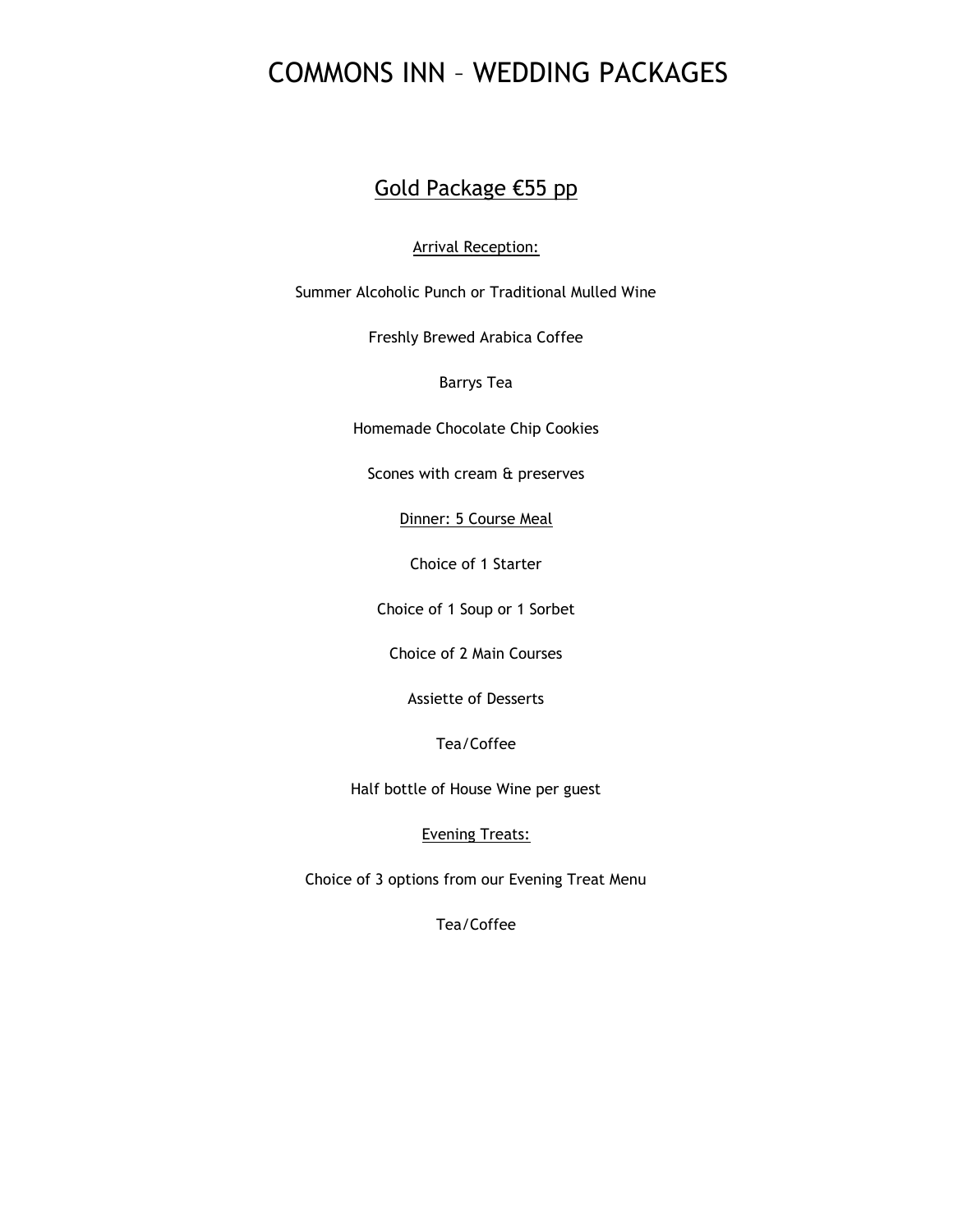### Gold Package €55 pp

#### Arrival Reception:

Summer Alcoholic Punch or Traditional Mulled Wine

Freshly Brewed Arabica Coffee

#### Barrys Tea

Homemade Chocolate Chip Cookies

Scones with cream & preserves

Dinner: 5 Course Meal

Choice of 1 Starter

Choice of 1 Soup or 1 Sorbet

Choice of 2 Main Courses

Assiette of Desserts

Tea/Coffee

Half bottle of House Wine per guest

#### Evening Treats:

Choice of 3 options from our Evening Treat Menu

Tea/Coffee